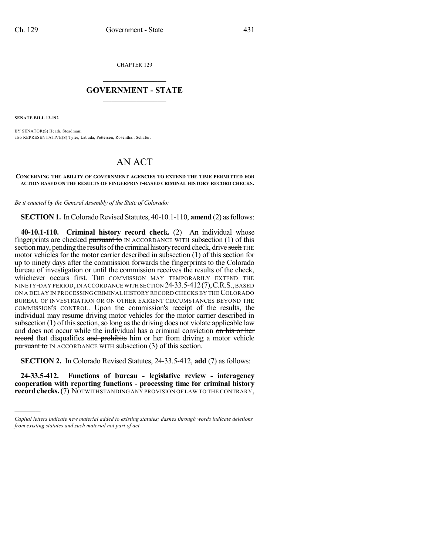CHAPTER 129

## $\overline{\phantom{a}}$  . The set of the set of the set of the set of the set of the set of the set of the set of the set of the set of the set of the set of the set of the set of the set of the set of the set of the set of the set o **GOVERNMENT - STATE**  $\_$

**SENATE BILL 13-192**

)))))

BY SENATOR(S) Heath, Steadman; also REPRESENTATIVE(S) Tyler, Labuda, Pettersen, Rosenthal, Schafer.

## AN ACT

## **CONCERNING THE ABILITY OF GOVERNMENT AGENCIES TO EXTEND THE TIME PERMITTED FOR ACTION BASED ON THE RESULTS OF FINGERPRINT-BASED CRIMINAL HISTORY RECORD CHECKS.**

*Be it enacted by the General Assembly of the State of Colorado:*

**SECTION 1.** In Colorado Revised Statutes, 40-10.1-110, **amend** (2) as follows:

**40-10.1-110. Criminal history record check.** (2) An individual whose fingerprints are checked pursuant to IN ACCORDANCE WITH subsection  $(1)$  of this section may, pending the results of the criminal history record check, drive such THE motor vehicles for the motor carrier described in subsection (1) of this section for up to ninety days after the commission forwards the fingerprints to the Colorado bureau of investigation or until the commission receives the results of the check, whichever occurs first. THE COMMISSION MAY TEMPORARILY EXTEND THE NINETY-DAY PERIOD,IN ACCORDANCE WITH SECTION 24-33.5-412(7),C.R.S.,BASED ON A DELAY IN PROCESSING CRIMINAL HISTORY RECORD CHECKS BY THE COLORADO BUREAU OF INVESTIGATION OR ON OTHER EXIGENT CIRCUMSTANCES BEYOND THE COMMISSION'S CONTROL. Upon the commission's receipt of the results, the individual may resume driving motor vehicles for the motor carrier described in subsection  $(1)$  of this section, so long as the driving does not violate applicable law and does not occur while the individual has a criminal conviction on his or her record that disqualifies and prohibits him or her from driving a motor vehicle **pursuant to** IN ACCORDANCE WITH subsection (3) of this section.

**SECTION 2.** In Colorado Revised Statutes, 24-33.5-412, **add** (7) as follows:

**24-33.5-412. Functions of bureau - legislative review - interagency cooperation with reporting functions - processing time for criminal history** record checks. (7) NOTWITHSTANDING ANY PROVISION OF LAW TO THE CONTRARY,

*Capital letters indicate new material added to existing statutes; dashes through words indicate deletions from existing statutes and such material not part of act.*